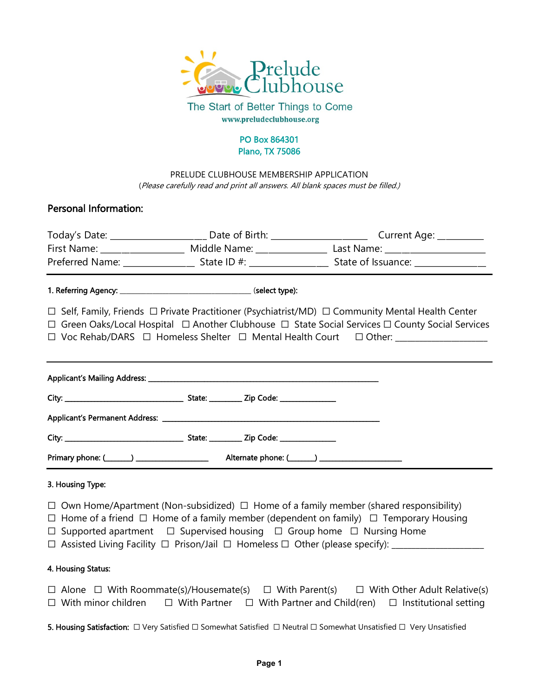

The Start of Better Things to Come www.preludeclubhouse.org

#### PO Box 864301 Plano, TX 75086

PRELUDE CLUBHOUSE MEMBERSHIP APPLICATION (Please carefully read and print all answers. All blank spaces must be filled.)

## Personal Information:

|                                                                                                                                                                                                                                | First Name: _____________________ Middle Name: __________________ Last Name: _______________________                 |
|--------------------------------------------------------------------------------------------------------------------------------------------------------------------------------------------------------------------------------|----------------------------------------------------------------------------------------------------------------------|
|                                                                                                                                                                                                                                | Preferred Name: ________________________ State ID #: ___________________________ State of Issuance: ________________ |
|                                                                                                                                                                                                                                |                                                                                                                      |
|                                                                                                                                                                                                                                | $\Box$ Self, Family, Friends $\Box$ Private Practitioner (Psychiatrist/MD) $\Box$ Community Mental Health Center     |
|                                                                                                                                                                                                                                | $\Box$ Green Oaks/Local Hospital $\Box$ Another Clubhouse $\Box$ State Social Services $\Box$ County Social Services |
|                                                                                                                                                                                                                                | □ Voc Rehab/DARS □ Homeless Shelter □ Mental Health Court □ Other: _____________                                     |
|                                                                                                                                                                                                                                |                                                                                                                      |
|                                                                                                                                                                                                                                |                                                                                                                      |
|                                                                                                                                                                                                                                |                                                                                                                      |
|                                                                                                                                                                                                                                |                                                                                                                      |
|                                                                                                                                                                                                                                |                                                                                                                      |
| Primary phone: (Change Communication Communication Alternate phone: (Change Communication Communication Communication Communication Communication Communication Communication Communication Communication Communication Commun |                                                                                                                      |

#### 3. Housing Type:

- ☐ Own Home/Apartment (Non-subsidized) ☐ Home of a family member (shared responsibility)
- ☐ Home of a friend ☐ Home of a family member (dependent on family) ☐ Temporary Housing
- ☐ Supported apartment ☐ Supervised housing ☐ Group home ☐ Nursing Home
- ☐ Assisted Living Facility ☐ Prison/Jail ☐ Homeless ☐ Other (please specify): \_\_\_\_\_\_\_\_\_\_\_\_\_\_\_\_\_\_\_\_\_\_\_

#### 4. Housing Status:

☐ Alone ☐ With Roommate(s)/Housemate(s) ☐ With Parent(s) ☐ With Other Adult Relative(s) ☐ With minor children ☐ With Partner ☐ With Partner and Child(ren) ☐ Institutional setting

5. Housing Satisfaction: □ Very Satisfied □ Somewhat Satisfied □ Neutral □ Somewhat Unsatisfied □ Very Unsatisfied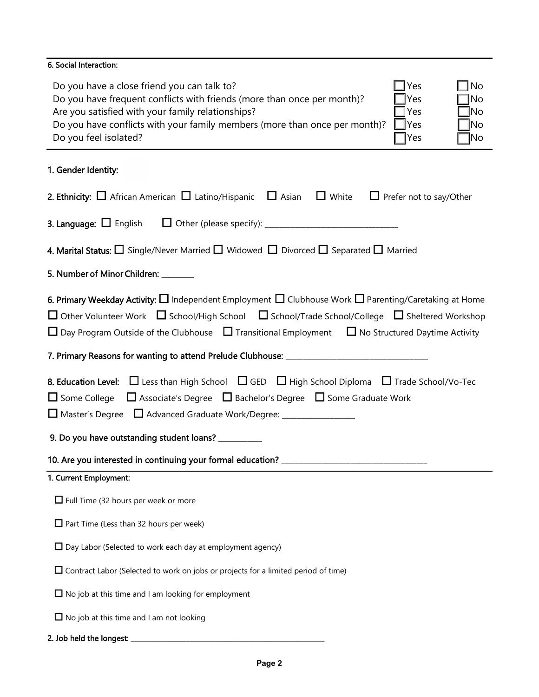### 6. Social Interaction:

| Do you have a close friend you can talk to?                                | $\sqsupset$ Yes | $\Box$ No    |
|----------------------------------------------------------------------------|-----------------|--------------|
| Do you have frequent conflicts with friends (more than once per month)?    | $\Box$ Yes      | $\Box$ No    |
| Are you satisfied with your family relationships?                          | TYes T          | $\square$ No |
| Do you have conflicts with your family members (more than once per month)? | <b>TYes</b>     | $\Box$ No    |
| Do you feel isolated?                                                      | TYes]           | $\square$ No |

## 1. Gender Identity:

| 2. Ethnicity: $\Box$ African American $\Box$ Latino/Hispanic $\Box$ Asian $\Box$ White<br>$\Box$ Prefer not to say/Other                                                                                                                                                                                                                                       |  |  |  |  |
|----------------------------------------------------------------------------------------------------------------------------------------------------------------------------------------------------------------------------------------------------------------------------------------------------------------------------------------------------------------|--|--|--|--|
| <b>3. Language:</b> $\Box$ English                                                                                                                                                                                                                                                                                                                             |  |  |  |  |
| 4. Marital Status: $\Box$ Single/Never Married $\Box$ Widowed $\Box$ Divorced $\Box$ Separated $\Box$ Married                                                                                                                                                                                                                                                  |  |  |  |  |
| 5. Number of Minor Children: _______                                                                                                                                                                                                                                                                                                                           |  |  |  |  |
| 6. Primary Weekday Activity: $\Box$ Independent Employment $\Box$ Clubhouse Work $\Box$ Parenting/Caretaking at Home<br>$\Box$ Other Volunteer Work $\Box$ School/High School $\Box$ School/Trade School/College $\Box$ Sheltered Workshop<br>$\Box$ Day Program Outside of the Clubhouse $\Box$ Transitional Employment $\Box$ No Structured Daytime Activity |  |  |  |  |
|                                                                                                                                                                                                                                                                                                                                                                |  |  |  |  |
| <b>8. Education Level:</b> $\Box$ Less than High School $\Box$ GED $\Box$ High School Diploma $\Box$ Trade School/Vo-Tec<br>$\Box$ Some College $\Box$ Associate's Degree $\Box$ Bachelor's Degree $\Box$ Some Graduate Work<br>□ Master's Degree □ Advanced Graduate Work/Degree: ________________<br>9. Do you have outstanding student loans? __________    |  |  |  |  |
| 1. Current Employment:                                                                                                                                                                                                                                                                                                                                         |  |  |  |  |
| $\Box$ Full Time (32 hours per week or more                                                                                                                                                                                                                                                                                                                    |  |  |  |  |
| $\Box$ Part Time (Less than 32 hours per week)                                                                                                                                                                                                                                                                                                                 |  |  |  |  |
| $\Box$ Day Labor (Selected to work each day at employment agency)                                                                                                                                                                                                                                                                                              |  |  |  |  |
| $\Box$ Contract Labor (Selected to work on jobs or projects for a limited period of time)                                                                                                                                                                                                                                                                      |  |  |  |  |
| $\Box$ No job at this time and I am looking for employment                                                                                                                                                                                                                                                                                                     |  |  |  |  |
| $\Box$ No job at this time and I am not looking                                                                                                                                                                                                                                                                                                                |  |  |  |  |
| 2. Job held the longest:                                                                                                                                                                                                                                                                                                                                       |  |  |  |  |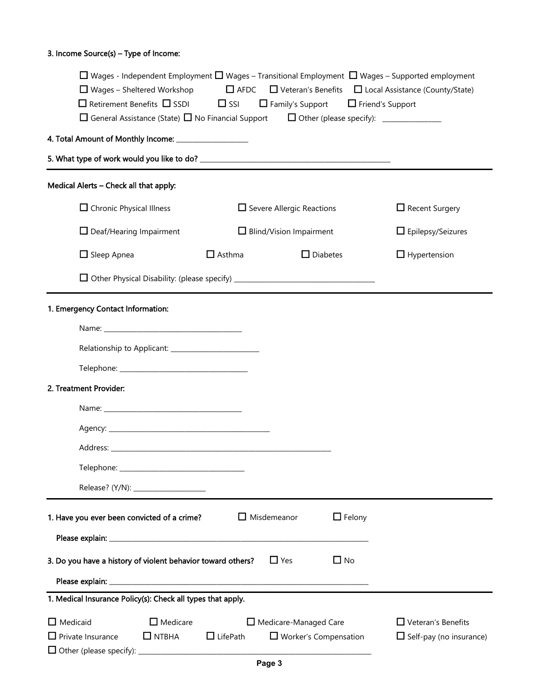#### 3. Income Source(s) – Type of Income:

|                                                             |                                                                                  |                              |                                                              |                         | $\Box$ Wages - Independent Employment $\Box$ Wages – Transitional Employment $\Box$ Wages – Supported employment |
|-------------------------------------------------------------|----------------------------------------------------------------------------------|------------------------------|--------------------------------------------------------------|-------------------------|------------------------------------------------------------------------------------------------------------------|
|                                                             | $\Box$ Wages – Sheltered Workshop<br>$\Box$ Retirement Benefits $\Box$ SSDI      | $\square$ AFDC<br>$\Box$ SSI | $\Box$ Family's Support                                      | $\Box$ Friend's Support | $\Box$ Veteran's Benefits $\Box$ Local Assistance (County/State)                                                 |
|                                                             | $\Box$ General Assistance (State) $\Box$ No Financial Support                    |                              |                                                              |                         |                                                                                                                  |
| 4. Total Amount of Monthly Income: _________________        |                                                                                  |                              |                                                              |                         |                                                                                                                  |
|                                                             |                                                                                  |                              |                                                              |                         |                                                                                                                  |
| Medical Alerts - Check all that apply:                      |                                                                                  |                              |                                                              |                         |                                                                                                                  |
| $\Box$ Chronic Physical Illness                             |                                                                                  |                              | $\Box$ Severe Allergic Reactions                             |                         | $\Box$ Recent Surgery                                                                                            |
|                                                             | $\Box$ Deaf/Hearing Impairment                                                   |                              | $\Box$ Blind/Vision Impairment                               |                         | $\Box$ Epilepsy/Seizures                                                                                         |
| $\Box$ Sleep Apnea                                          |                                                                                  | $\Box$ Asthma                |                                                              | $\Box$ Diabetes         | $\Box$ Hypertension                                                                                              |
|                                                             | □ Other Physical Disability: (please specify) __________________________________ |                              |                                                              |                         |                                                                                                                  |
| 1. Emergency Contact Information:                           |                                                                                  |                              |                                                              |                         |                                                                                                                  |
|                                                             |                                                                                  |                              |                                                              |                         |                                                                                                                  |
|                                                             |                                                                                  |                              |                                                              |                         |                                                                                                                  |
|                                                             |                                                                                  |                              |                                                              |                         |                                                                                                                  |
| 2. Treatment Provider:                                      |                                                                                  |                              |                                                              |                         |                                                                                                                  |
|                                                             |                                                                                  |                              |                                                              |                         |                                                                                                                  |
|                                                             |                                                                                  |                              |                                                              |                         |                                                                                                                  |
|                                                             |                                                                                  |                              |                                                              |                         |                                                                                                                  |
|                                                             |                                                                                  |                              |                                                              |                         |                                                                                                                  |
|                                                             |                                                                                  |                              |                                                              |                         |                                                                                                                  |
| 1. Have you ever been convicted of a crime?                 |                                                                                  |                              | $\Box$ Misdemeanor                                           | $\Box$ Felony           |                                                                                                                  |
|                                                             |                                                                                  |                              |                                                              |                         |                                                                                                                  |
| 3. Do you have a history of violent behavior toward others? |                                                                                  |                              | $\Box$ Yes                                                   | $\Box$ No               |                                                                                                                  |
|                                                             |                                                                                  |                              |                                                              |                         |                                                                                                                  |
| 1. Medical Insurance Policy(s): Check all types that apply. |                                                                                  |                              |                                                              |                         |                                                                                                                  |
| $\Box$ Medicaid<br>$\Box$ Private Insurance                 | $\Box$ Medicare<br>$\Box$ NTBHA                                                  | $\Box$ LifePath              | $\Box$ Medicare-Managed Care<br>$\Box$ Worker's Compensation |                         | $\Box$ Veteran's Benefits<br>$\Box$ Self-pay (no insurance)                                                      |
|                                                             |                                                                                  |                              |                                                              |                         |                                                                                                                  |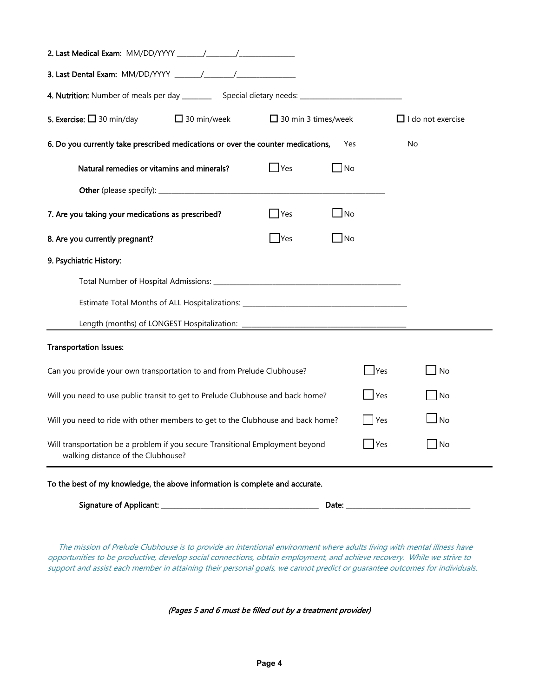| 5. Exercise: $\Box$ 30 min/day<br>$\Box$ 30 min/week<br>$\Box$ 30 min 3 times/week                                                  |                                                |           | $\Box$ I do not exercise |  |
|-------------------------------------------------------------------------------------------------------------------------------------|------------------------------------------------|-----------|--------------------------|--|
| 6. Do you currently take prescribed medications or over the counter medications,<br>Yes<br>No                                       |                                                |           |                          |  |
| Natural remedies or vitamins and minerals?                                                                                          | $\mathsf{\underline{\mathsf{\mathsf{I}}}}$ Yes | _I No     |                          |  |
|                                                                                                                                     |                                                |           |                          |  |
| 7. Are you taking your medications as prescribed?                                                                                   | Yes                                            | $\Box$ No |                          |  |
| 8. Are you currently pregnant?                                                                                                      | $\Box$ Yes                                     | $\Box$ No |                          |  |
| 9. Psychiatric History:                                                                                                             |                                                |           |                          |  |
|                                                                                                                                     |                                                |           |                          |  |
| Estimate Total Months of ALL Hospitalizations: _________________________________                                                    |                                                |           |                          |  |
|                                                                                                                                     |                                                |           |                          |  |
| <b>Transportation Issues:</b>                                                                                                       |                                                |           |                          |  |
| Can you provide your own transportation to and from Prelude Clubhouse?                                                              |                                                | Yes       | <b>No</b>                |  |
| $\vert$ Yes<br>Will you need to use public transit to get to Prelude Clubhouse and back home?                                       |                                                |           | No                       |  |
| Yes<br>Will you need to ride with other members to get to the Clubhouse and back home?                                              |                                                |           | l No                     |  |
| Will transportation be a problem if you secure Transitional Employment beyond<br><b>I</b> Yes<br>walking distance of the Clubhouse? |                                                |           | <b>INo</b>               |  |
| To the best of my knowledge, the above information is complete and accurate.                                                        |                                                |           |                          |  |

 The mission of Prelude Clubhouse is to provide an intentional environment where adults living with mental illness have opportunities to be productive, develop social connections, obtain employment, and achieve recovery. While we strive to support and assist each member in attaining their personal goals, we cannot predict or guarantee outcomes for individuals.

(Pages 5 and 6 must be filled out by a treatment provider)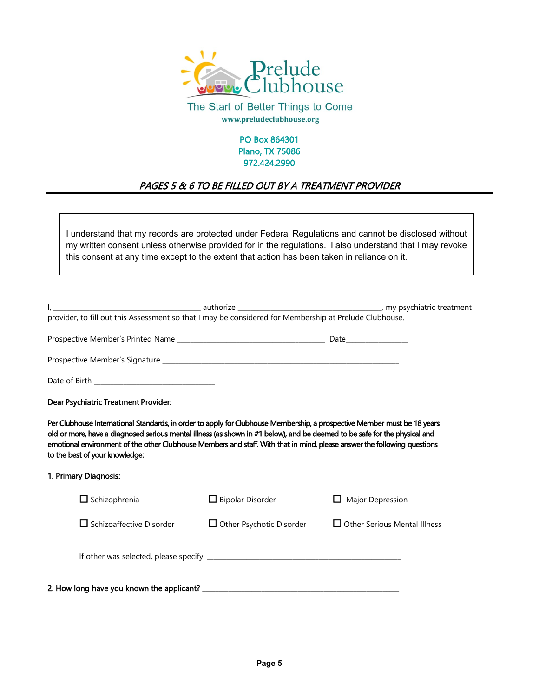

The Start of Better Things to Come www.preludeclubhouse.org

#### PO Box 864301 Plano, TX 75086 972.424.2990

# PAGES 5 & 6 TO BE FILLED OUT BY A TREATMENT PROVIDER

I understand that my records are protected under Federal Regulations and cannot be disclosed without my written consent unless otherwise provided for in the regulations. I also understand that I may revoke this consent at any time except to the extent that action has been taken in reliance on it.

| provider, to fill out this Assessment so that I may be considered for Membership at Prelude Clubhouse.                                                                                                                                                                                                                                                                                                               |                                 |                                     |  |  |  |  |
|----------------------------------------------------------------------------------------------------------------------------------------------------------------------------------------------------------------------------------------------------------------------------------------------------------------------------------------------------------------------------------------------------------------------|---------------------------------|-------------------------------------|--|--|--|--|
|                                                                                                                                                                                                                                                                                                                                                                                                                      |                                 |                                     |  |  |  |  |
|                                                                                                                                                                                                                                                                                                                                                                                                                      |                                 |                                     |  |  |  |  |
|                                                                                                                                                                                                                                                                                                                                                                                                                      |                                 |                                     |  |  |  |  |
| Dear Psychiatric Treatment Provider:                                                                                                                                                                                                                                                                                                                                                                                 |                                 |                                     |  |  |  |  |
| Per Clubhouse International Standards, in order to apply for Clubhouse Membership, a prospective Member must be 18 years<br>old or more, have a diagnosed serious mental illness (as shown in #1 below), and be deemed to be safe for the physical and<br>emotional environment of the other Clubhouse Members and staff. With that in mind, please answer the following questions<br>to the best of your knowledge: |                                 |                                     |  |  |  |  |
| 1. Primary Diagnosis:                                                                                                                                                                                                                                                                                                                                                                                                |                                 |                                     |  |  |  |  |
| $\Box$ Schizophrenia                                                                                                                                                                                                                                                                                                                                                                                                 | $\Box$ Bipolar Disorder         | $\Box$ Major Depression             |  |  |  |  |
| $\square$ Schizoaffective Disorder                                                                                                                                                                                                                                                                                                                                                                                   | $\Box$ Other Psychotic Disorder | $\Box$ Other Serious Mental Illness |  |  |  |  |
|                                                                                                                                                                                                                                                                                                                                                                                                                      |                                 |                                     |  |  |  |  |
|                                                                                                                                                                                                                                                                                                                                                                                                                      |                                 |                                     |  |  |  |  |